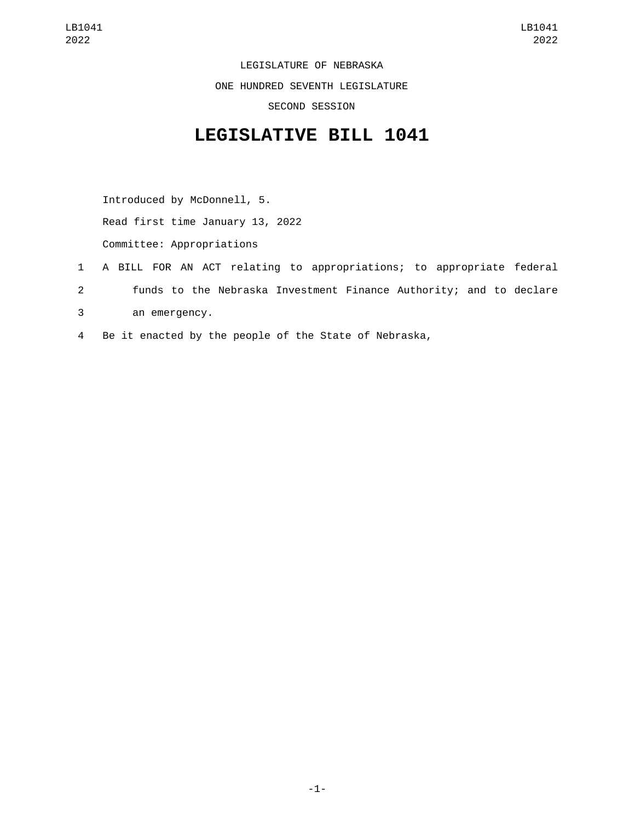LEGISLATURE OF NEBRASKA ONE HUNDRED SEVENTH LEGISLATURE SECOND SESSION

## **LEGISLATIVE BILL 1041**

Introduced by McDonnell, 5.

Read first time January 13, 2022

Committee: Appropriations

- 1 A BILL FOR AN ACT relating to appropriations; to appropriate federal 2 funds to the Nebraska Investment Finance Authority; and to declare an emergency.3
- 4 Be it enacted by the people of the State of Nebraska,